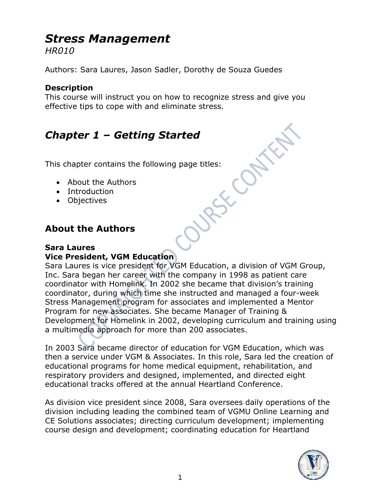# *Stress Management*

*HR010*

Authors: Sara Laures, Jason Sadler, Dorothy de Souza Guedes

### **Description**

This course will instruct you on how to recognize stress and give you effective tips to cope with and eliminate stress.

# **Chapter 1 – Getting Started**<br>This chapter contains the following page titles:<br>• About the Authors<br>• Introduction<br>• Objectives

This chapter contains the following page titles:

- About the Authors
- Introduction
- Objectives

### **About the Authors**

### **Sara Laures Vice President, VGM Education**

Sara Laures is vice president for VGM Education, a division of VGM Group, Inc. Sara began her career with the company in 1998 as patient care coordinator with Homelink. In 2002 she became that division's training coordinator, during which time she instructed and managed a four-week Stress Management program for associates and implemented a Mentor Program for new associates. She became Manager of Training & Development for Homelink in 2002, developing curriculum and training using a multimedia approach for more than 200 associates.

In 2003 Sara became director of education for VGM Education, which was then a service under VGM & Associates. In this role, Sara led the creation of educational programs for home medical equipment, rehabilitation, and respiratory providers and designed, implemented, and directed eight educational tracks offered at the annual Heartland Conference.

As division vice president since 2008, Sara oversees daily operations of the division including leading the combined team of VGMU Online Learning and CE Solutions associates; directing curriculum development; implementing course design and development; coordinating education for Heartland

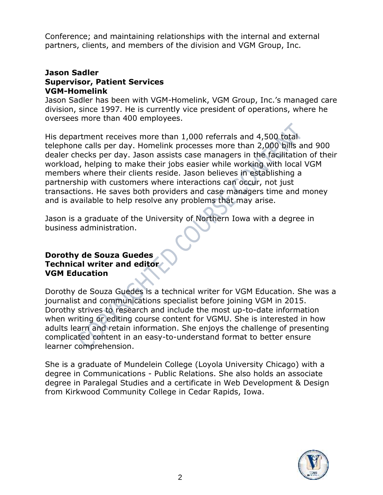Conference; and maintaining relationships with the internal and external partners, clients, and members of the division and VGM Group, Inc.

### **Jason Sadler Supervisor, Patient Services VGM-Homelink**

Jason Sadler has been with VGM-Homelink, VGM Group, Inc.'s managed care division, since 1997. He is currently vice president of operations, where he oversees more than 400 employees.

His department receives more than 1,000 referrals and 4,500 total telephone calls per day. Homelink processes more than 2,000 bills and 900 dealer checks per day. Jason assists case managers in the facilitation of their workload, helping to make their jobs easier while working with local VGM members where their clients reside. Jason believes in establishing a partnership with customers where interactions can occur, not just transactions. He saves both providers and case managers time and money and is available to help resolve any problems that may arise.

Jason is a graduate of the University of Northern Iowa with a degree in business administration.

### **Dorothy de Souza Guedes Technical writer and editor VGM Education**

Dorothy de Souza Guedes is a technical writer for VGM Education. She was a journalist and communications specialist before joining VGM in 2015. Dorothy strives to research and include the most up-to-date information when writing or editing course content for VGMU. She is interested in how adults learn and retain information. She enjoys the challenge of presenting complicated content in an easy-to-understand format to better ensure learner comprehension.

She is a graduate of Mundelein College (Loyola University Chicago) with a degree in Communications - Public Relations. She also holds an associate degree in Paralegal Studies and a certificate in Web Development & Design from Kirkwood Community College in Cedar Rapids, Iowa.

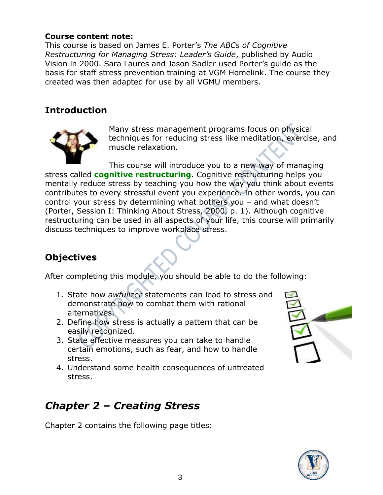### **Course content note:**

This course is based on James E. Porter's *The ABCs of Cognitive Restructuring for Managing Stress: Leader's Guide*, published by Audio Vision in 2000. Sara Laures and Jason Sadler used Porter's guide as the basis for staff stress prevention training at VGM Homelink. The course they created was then adapted for use by all VGMU members.

### **Introduction**



Many stress management programs focus on physical techniques for reducing stress like meditation, exercise, and muscle relaxation.

This course will introduce you to a new way of managing stress called **cognitive restructuring**. Cognitive restructuring helps you mentally reduce stress by teaching you how the way you think about events contributes to every stressful event you experience. In other words, you can control your stress by determining what bothers you – and what doesn't (Porter, Session I: Thinking About Stress, 2000, p. 1). Although cognitive restructuring can be used in all aspects of your life, this course will primarily discuss techniques to improve workplace stress.

### **Objectives**

After completing this module, you should be able to do the following:

- 1. State how *awfulizer* statements can lead to stress and demonstrate how to combat them with rational alternatives.
- 2. Define how stress is actually a pattern that can be easily recognized.
- 3. State effective measures you can take to handle certain emotions, such as fear, and how to handle stress.
- 4. Understand some health consequences of untreated stress.

# *Chapter 2 – Creating Stress*

Chapter 2 contains the following page titles:



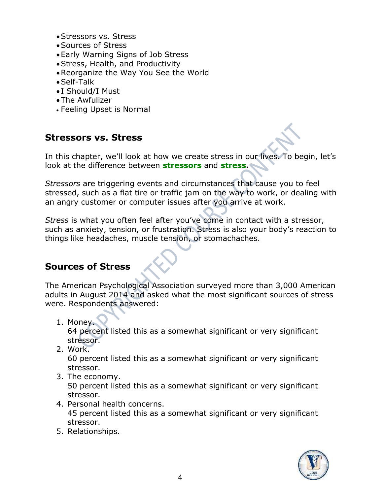- •Stressors vs. Stress
- •Sources of Stress
- •Early Warning Signs of Job Stress
- •Stress, Health, and Productivity
- •Reorganize the Way You See the World
- •Self-Talk
- I Should/I Must
- •The Awfulizer
- Feeling Upset is Normal

### **Stressors vs. Stress**

In this chapter, we'll look at how we create stress in our lives. To begin, let's look at the difference between **stressors** and **stress.**

*Stressors* are triggering events and circumstances that cause you to feel stressed, such as a flat tire or traffic jam on the way to work, or dealing with an angry customer or computer issues after you arrive at work.

*Stress* is what you often feel after you've come in contact with a stressor, such as anxiety, tension, or frustration. Stress is also your body's reaction to things like headaches, muscle tension, or stomachaches.

### **Sources of Stress**

The American Psychological Association surveyed more than 3,000 American adults in August 2014 and asked what the most significant sources of stress were. Respondents answered:

- 1. Money. 64 percent listed this as a somewhat significant or very significant stressor.
- 2. Work.

60 percent listed this as a somewhat significant or very significant stressor.

3. The economy.

50 percent listed this as a somewhat significant or very significant stressor.

- 4. Personal health concerns. 45 percent listed this as a somewhat significant or very significant stressor.
- 5. Relationships.

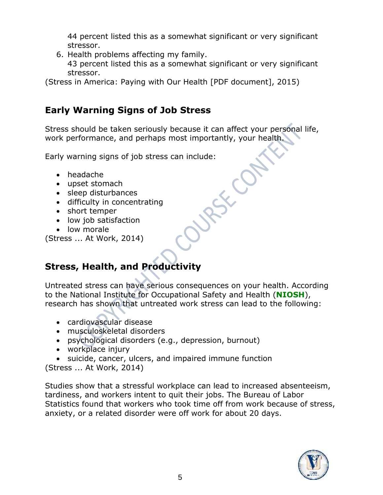44 percent listed this as a somewhat significant or very significant stressor.

6. Health problems affecting my family.

43 percent listed this as a somewhat significant or very significant stressor.

(Stress in America: Paying with Our Health [PDF document], 2015)

### **Early Warning Signs of Job Stress**

Stress should be taken seriously because it can affect your personal life, work performance, and perhaps most importantly, your health.

ASKION

Early warning signs of job stress can include:

- headache
- upset stomach
- sleep disturbances
- difficulty in concentrating
- short temper
- low job satisfaction
- low morale

(Stress ... At Work, 2014)

## **Stress, Health, and Productivity**

Untreated stress can have serious consequences on your health. According to the National Institute for Occupational Safety and Health (**NIOSH**), research has shown that untreated work stress can lead to the following:

- cardiovascular disease
- musculoskeletal disorders
- psychological disorders (e.g., depression, burnout)
- workplace injury
- suicide, cancer, ulcers, and impaired immune function

(Stress ... At Work, 2014)

Studies show that a stressful workplace can lead to increased absenteeism, tardiness, and workers intent to quit their jobs. The Bureau of Labor Statistics found that workers who took time off from work because of stress, anxiety, or a related disorder were off work for about 20 days.

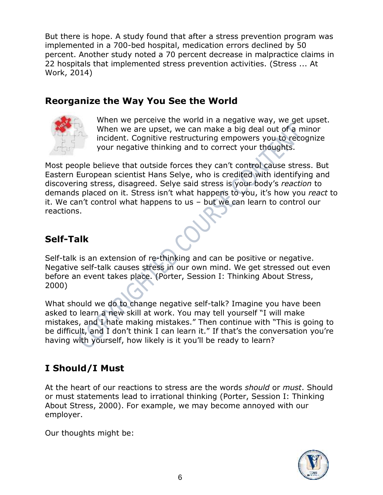But there is hope. A study found that after a stress prevention program was implemented in a 700-bed hospital, medication errors declined by 50 percent. Another study noted a 70 percent decrease in malpractice claims in 22 hospitals that implemented stress prevention activities. (Stress ... At Work, 2014)

### **Reorganize the Way You See the World**



When we perceive the world in a negative way, we get upset. When we are upset, we can make a big deal out of a minor incident. Cognitive restructuring empowers you to recognize your negative thinking and to correct your thoughts.

Most people believe that outside forces they can't control cause stress. But Eastern European scientist Hans Selye, who is credited with identifying and discovering stress, disagreed. Selye said stress is your body's *reaction* to demands placed on it. Stress isn't what happens to you, it's how you *react* to it. We can't control what happens to us – but we can learn to control our reactions.

### **Self-Talk**

Self-talk is an extension of re-thinking and can be positive or negative. Negative self-talk causes stress in our own mind. We get stressed out even before an event takes place. (Porter, Session I: Thinking About Stress, 2000)

What should we do to change negative self-talk? Imagine you have been asked to learn a new skill at work. You may tell yourself "I will make mistakes, and I hate making mistakes." Then continue with "This is going to be difficult, and I don't think I can learn it." If that's the conversation you're having with yourself, how likely is it you'll be ready to learn?

### **I Should/I Must**

At the heart of our reactions to stress are the words *should* or *must*. Should or must statements lead to irrational thinking (Porter, Session I: Thinking About Stress, 2000). For example, we may become annoyed with our employer.

Our thoughts might be:

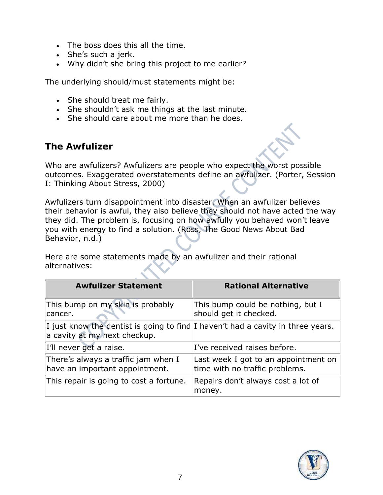- The boss does this all the time.
- She's such a jerk.
- Why didn't she bring this project to me earlier?

The underlying should/must statements might be:

- She should treat me fairly.
- She shouldn't ask me things at the last minute.
- She should care about me more than he does.

### **The Awfulizer**

Who are awfulizers? Awfulizers are people who expect the worst possible outcomes. Exaggerated overstatements define an awfulizer. (Porter, Session I: Thinking About Stress, 2000)

Awfulizers turn disappointment into disaster. When an awfulizer believes their behavior is awful, they also believe they should not have acted the way they did. The problem is, focusing on how awfully you behaved won't leave you with energy to find a solution. (Ross, The Good News About Bad Behavior, n.d.)

Here are some statements made by an awfulizer and their rational alternatives:

| <b>Awfulizer Statement</b>                                                                                      | <b>Rational Alternative</b>                                            |
|-----------------------------------------------------------------------------------------------------------------|------------------------------------------------------------------------|
| This bump on my skin is probably<br>cancer.                                                                     | This bump could be nothing, but I<br>should get it checked.            |
| I just know the dentist is going to find I haven't had a cavity in three years.<br>a cavity at my next checkup. |                                                                        |
| I'll never get a raise.                                                                                         | I've received raises before.                                           |
| There's always a traffic jam when I<br>have an important appointment.                                           | Last week I got to an appointment on<br>time with no traffic problems. |
| This repair is going to cost a fortune.                                                                         | Repairs don't always cost a lot of<br>money.                           |

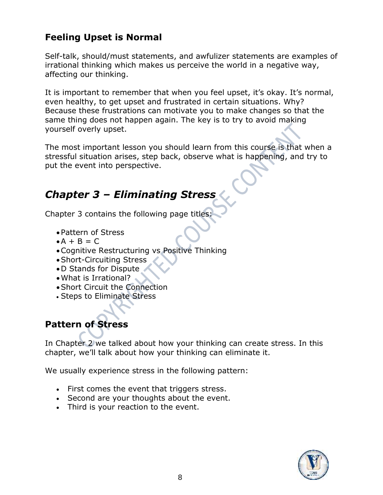### **Feeling Upset is Normal**

Self-talk, should/must statements, and awfulizer statements are examples of irrational thinking which makes us perceive the world in a negative way, affecting our thinking.

It is important to remember that when you feel upset, it's okay. It's normal, even healthy, to get upset and frustrated in certain situations. Why? Because these frustrations can motivate you to make changes so that the same thing does not happen again. The key is to try to avoid making yourself overly upset.

The most important lesson you should learn from this course is that when a stressful situation arises, step back, observe what is happening, and try to put the event into perspective.

# *Chapter 3 – Eliminating Stress*

Chapter 3 contains the following page titles:

- •Pattern of Stress
- $\bullet A + B = C$
- •Cognitive Restructuring vs Positive Thinking
- •Short-Circuiting Stress
- •D Stands for Dispute
- •What is Irrational?
- •Short Circuit the Connection
- Steps to Eliminate Stress

### **Pattern of Stress**

In Chapter 2 we talked about how your thinking can create stress. In this chapter, we'll talk about how your thinking can eliminate it.

We usually experience stress in the following pattern:

- First comes the event that triggers stress.
- Second are your thoughts about the event.
- Third is your reaction to the event.

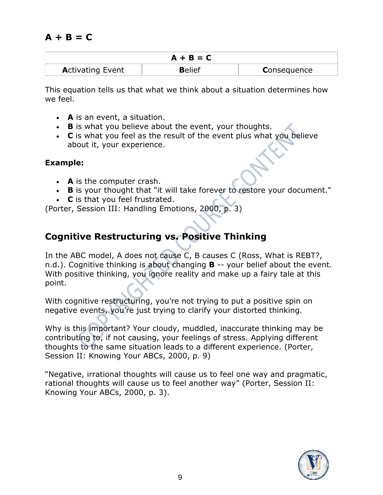### **A + B = C**

| $A + B = C$             |               |                    |
|-------------------------|---------------|--------------------|
| <b>Activating Event</b> | <b>Belief</b> | <b>Consequence</b> |

This equation tells us that what we think about a situation determines how we feel.

- **A** is an event, a situation.
- **B** is what you believe about the event, your thoughts.
- **C** is what you feel as the result of the event plus what you believe about it, your experience.

### **Example:**

- **A** is the computer crash.
- **B** is your thought that "it will take forever to restore your document."
- **C** is that you feel frustrated.

(Porter, Session III: Handling Emotions, 2000, p. 3)

### **Cognitive Restructuring vs. Positive Thinking**

In the ABC model, A does not cause C, B causes C (Ross, What is REBT?, n.d.). Cognitive thinking is about changing **B** -- your belief about the event. With positive thinking, you ignore reality and make up a fairy tale at this point.

With cognitive restructuring, you're not trying to put a positive spin on negative events, you're just trying to clarify your distorted thinking.

Why is this important? Your cloudy, muddled, inaccurate thinking may be contributing to, if not causing, your feelings of stress. Applying different thoughts to the same situation leads to a different experience. (Porter, Session II: Knowing Your ABCs, 2000, p. 9)

"Negative, irrational thoughts will cause us to feel one way and pragmatic, rational thoughts will cause us to feel another way" (Porter, Session II: Knowing Your ABCs, 2000, p. 3).

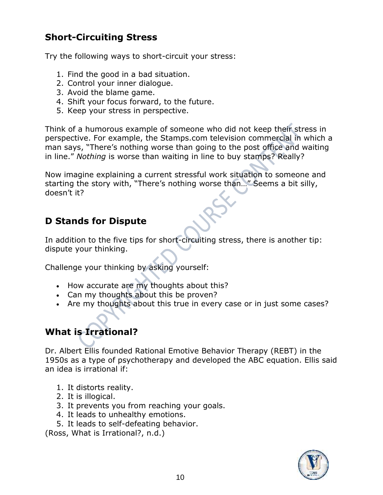### **Short-Circuiting Stress**

Try the following ways to short-circuit your stress:

- 1. Find the good in a bad situation.
- 2. Control your inner dialogue.
- 3. Avoid the blame game.
- 4. Shift your focus forward, to the future.
- 5. Keep your stress in perspective.

Think of a humorous example of someone who did not keep their stress in perspective. For example, the Stamps.com television commercial in which a man says, "There's nothing worse than going to the post office and waiting in line." *Nothing* is worse than waiting in line to buy stamps? Really?

Now imagine explaining a current stressful work situation to someone and starting the story with, "There's nothing worse than…" Seems a bit silly, doesn't it?

### **D Stands for Dispute**

In addition to the five tips for short-circuiting stress, there is another tip: dispute your thinking.

Challenge your thinking by asking yourself:

- How accurate are my thoughts about this?
- Can my thoughts about this be proven?
- Are my thoughts about this true in every case or in just some cases?

# **What is Irrational?**

Dr. Albert Ellis founded Rational Emotive Behavior Therapy (REBT) in the 1950s as a type of psychotherapy and developed the ABC equation. Ellis said an idea is irrational if:

- 1. It distorts reality.
- 2. It is illogical.
- 3. It prevents you from reaching your goals.
- 4. It leads to unhealthy emotions.
- 5. It leads to self-defeating behavior.

(Ross, What is Irrational?, n.d.)

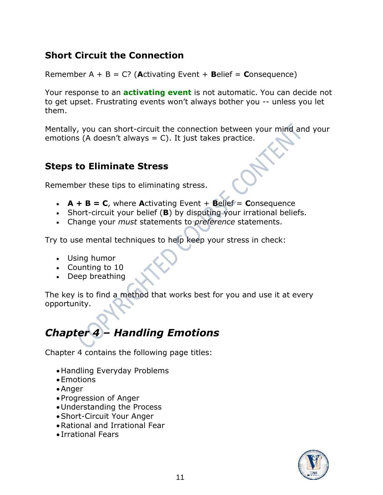### **Short Circuit the Connection**

Remember A + B = C? (**A**ctivating Event + **B**elief = **C**onsequence)

Your response to an **activating event** is not automatic. You can decide not to get upset. Frustrating events won't always bother you -- unless you let them.

Mentally, you can short-circuit the connection between your mind and your emotions (A doesn't always  $= C$ ). It just takes practice.

### **Steps to Eliminate Stress**

Remember these tips to eliminating stress.

- $A + B = C$ , where **A**ctivating Event  $+$  **Belief** = **Consequence**
- Short-circuit your belief (**B**) by disputing your irrational beliefs.
- Change your *must* statements to *preference* statements.

Try to use mental techniques to help keep your stress in check:

- Using humor
- Counting to 10
- Deep breathing

The key is to find a method that works best for you and use it at every opportunity.

# *Chapter 4 – Handling Emotions*

Chapter 4 contains the following page titles:

- •Handling Everyday Problems
- •Emotions
- •Anger
- •Progression of Anger
- Understanding the Process
- •Short-Circuit Your Anger
- •Rational and Irrational Fear
- Irrational Fears

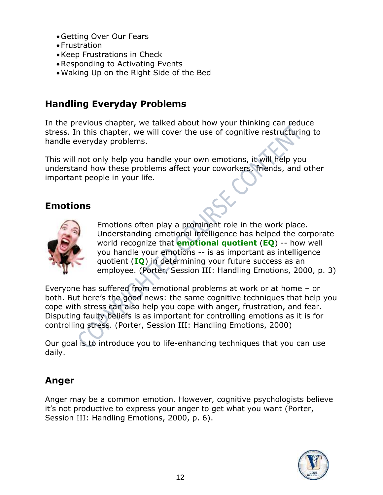- •Getting Over Our Fears
- Frustration
- •Keep Frustrations in Check
- •Responding to Activating Events
- •Waking Up on the Right Side of the Bed

### **Handling Everyday Problems**

In the previous chapter, we talked about how your thinking can reduce stress. In this chapter, we will cover the use of cognitive restructuring to handle everyday problems.

This will not only help you handle your own emotions, it will help you understand how these problems affect your coworkers, friends, and other important people in your life.

### **Emotions**



Emotions often play a prominent role in the work place. Understanding emotional intelligence has helped the corporate world recognize that **emotional quotient** (**EQ**) -- how well you handle your emotions -- is as important as intelligence quotient (**IQ**) in determining your future success as an employee. (Porter, Session III: Handling Emotions, 2000, p. 3)

Everyone has suffered from emotional problems at work or at home – or both. But here's the good news: the same cognitive techniques that help you cope with stress can also help you cope with anger, frustration, and fear. Disputing faulty beliefs is as important for controlling emotions as it is for controlling stress. (Porter, Session III: Handling Emotions, 2000)

Our goal is to introduce you to life-enhancing techniques that you can use daily.

### **Anger**

Anger may be a common emotion. However, cognitive psychologists believe it's not productive to express your anger to get what you want (Porter, Session III: Handling Emotions, 2000, p. 6).

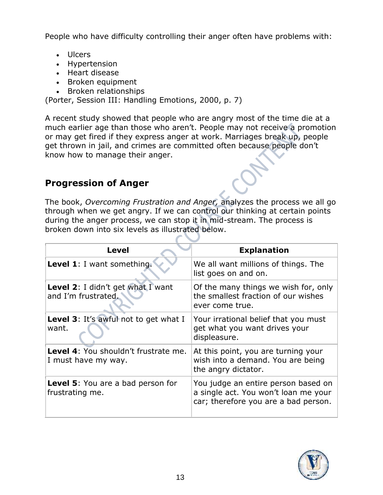People who have difficulty controlling their anger often have problems with:

- Ulcers
- Hypertension
- Heart disease
- Broken equipment
- Broken relationships

(Porter, Session III: Handling Emotions, 2000, p. 7)

A recent study showed that people who are angry most of the time die at a much earlier age than those who aren't. People may not receive a promotion or may get fired if they express anger at work. Marriages break up, people get thrown in jail, and crimes are committed often because people don't know how to manage their anger.

### **Progression of Anger**

The book, *Overcoming Frustration and Anger,* analyzes the process we all go through when we get angry. If we can control our thinking at certain points during the anger process, we can stop it in mid-stream. The process is broken down into six levels as illustrated below.

| <b>Level</b>                                                | <b>Explanation</b>                                                                                                  |
|-------------------------------------------------------------|---------------------------------------------------------------------------------------------------------------------|
| Level 1: I want something.                                  | We all want millions of things. The<br>list goes on and on.                                                         |
| Level 2: I didn't get what I want<br>and I'm frustrated.    | Of the many things we wish for, only<br>the smallest fraction of our wishes<br>ever come true.                      |
| Level 3: It's awful not to get what I<br>want.              | Your irrational belief that you must<br>get what you want drives your<br>displeasure.                               |
| Level 4: You shouldn't frustrate me.<br>I must have my way. | At this point, you are turning your<br>wish into a demand. You are being<br>the angry dictator.                     |
| <b>Level 5:</b> You are a bad person for<br>frustrating me. | You judge an entire person based on<br>a single act. You won't loan me your<br>car; therefore you are a bad person. |

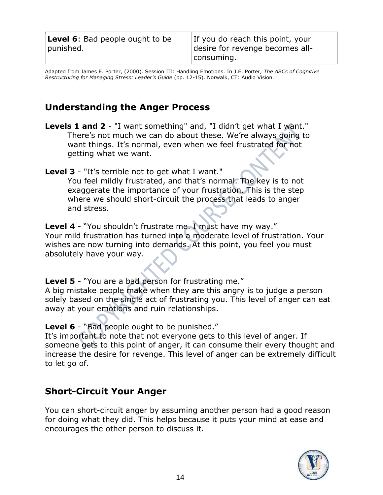| <b>Level 6:</b> Bad people ought to be | If you do reach this point, your |
|----------------------------------------|----------------------------------|
| punished.                              | desire for revenge becomes all-  |
|                                        | consuming.                       |

Adapted from James E. Porter, (2000). Session III: Handling Emotions. In J.E. Porter*, The ABCs of Cognitive Restructuring for Managing Stress: Leader's Guide* (pp. 12-15). Norwalk, CT: Audio Vision.

### **Understanding the Anger Process**

**Levels 1 and 2** - "I want something" and, "I didn't get what I want." There's not much we can do about these. We're always going to want things. It's normal, even when we feel frustrated for not getting what we want.

**Level 3** - "It's terrible not to get what I want." You feel mildly frustrated, and that's normal. The key is to not exaggerate the importance of your frustration. This is the step where we should short-circuit the process that leads to anger and stress.

**Level 4** - "You shouldn't frustrate me. I must have my way." Your mild frustration has turned into a moderate level of frustration. Your wishes are now turning into demands. At this point, you feel you must absolutely have your way.

**Level 5** - "You are a bad person for frustrating me." A big mistake people make when they are this angry is to judge a person solely based on the single act of frustrating you. This level of anger can eat away at your emotions and ruin relationships.

**Level 6** - "Bad people ought to be punished."

It's important to note that not everyone gets to this level of anger. If someone gets to this point of anger, it can consume their every thought and increase the desire for revenge. This level of anger can be extremely difficult to let go of.

### **Short-Circuit Your Anger**

You can short-circuit anger by assuming another person had a good reason for doing what they did. This helps because it puts your mind at ease and encourages the other person to discuss it.

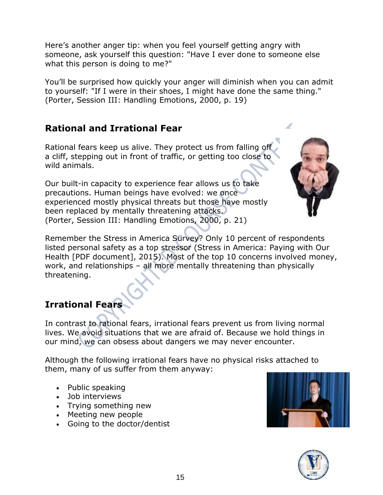Here's another anger tip: when you feel yourself getting angry with someone, ask yourself this question: "Have I ever done to someone else what this person is doing to me?"

You'll be surprised how quickly your anger will diminish when you can admit to yourself: "If I were in their shoes, I might have done the same thing." (Porter, Session III: Handling Emotions, 2000, p. 19)

### **Rational and Irrational Fear**

Rational fears keep us alive. They protect us from falling off a cliff, stepping out in front of traffic, or getting too close to wild animals.

Our built-in capacity to experience fear allows us to take precautions. Human beings have evolved: we once experienced mostly physical threats but those have mostly been replaced by mentally threatening attacks. (Porter, Session III: Handling Emotions, 2000, p. 21)



Remember the Stress in America Survey? Only 10 percent of respondents listed personal safety as a top stressor (Stress in America: Paying with Our Health [PDF document], 2015). Most of the top 10 concerns involved money, work, and relationships – all more mentally threatening than physically threatening.

### **Irrational Fears**

In contrast to rational fears, irrational fears prevent us from living normal lives. We avoid situations that we are afraid of. Because we hold things in our mind, we can obsess about dangers we may never encounter.

Although the following irrational fears have no physical risks attached to them, many of us suffer from them anyway:

- Public speaking
- Job interviews
- Trying something new
- Meeting new people
- Going to the doctor/dentist



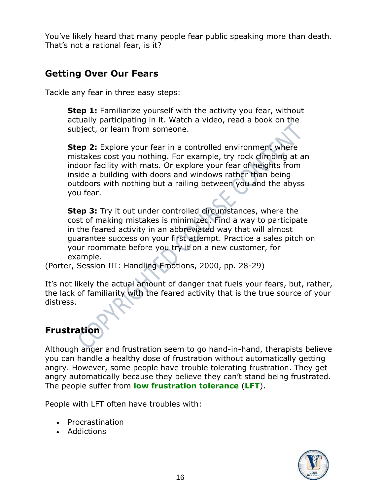You've likely heard that many people fear public speaking more than death. That's not a rational fear, is it?

### **Getting Over Our Fears**

Tackle any fear in three easy steps:

**Step 1:** Familiarize yourself with the activity you fear, without actually participating in it. Watch a video, read a book on the subject, or learn from someone.

**Step 2:** Explore your fear in a controlled environment where mistakes cost you nothing. For example, try rock climbing at an indoor facility with mats. Or explore your fear of heights from inside a building with doors and windows rather than being outdoors with nothing but a railing between you and the abyss you fear.

**Step 3:** Try it out under controlled circumstances, where the cost of making mistakes is minimized. Find a way to participate in the feared activity in an abbreviated way that will almost guarantee success on your first attempt. Practice a sales pitch on your roommate before you try it on a new customer, for example.

(Porter, Session III: Handling Emotions, 2000, pp. 28-29)

It's not likely the actual amount of danger that fuels your fears, but, rather, the lack of familiarity with the feared activity that is the true source of your distress.

### **Frustration**

Although anger and frustration seem to go hand-in-hand, therapists believe you can handle a healthy dose of frustration without automatically getting angry. However, some people have trouble tolerating frustration. They get angry automatically because they believe they can't stand being frustrated. The people suffer from **low frustration tolerance** (**LFT**).

People with LFT often have troubles with:

- Procrastination
- Addictions

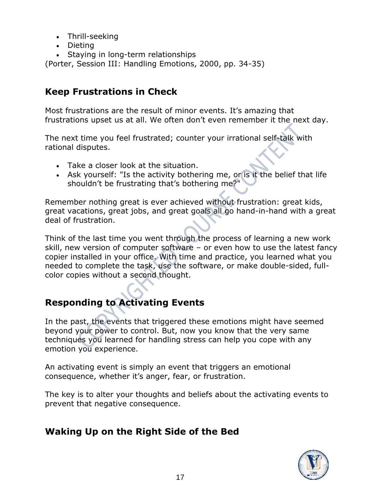- Thrill-seeking
- Dieting
- Staying in long-term relationships

(Porter, Session III: Handling Emotions, 2000, pp. 34-35)

### **Keep Frustrations in Check**

Most frustrations are the result of minor events. It's amazing that frustrations upset us at all. We often don't even remember it the next day.

The next time you feel frustrated; counter your irrational self-talk with rational disputes.

- Take a closer look at the situation.
- Ask yourself: "Is the activity bothering me, or is it the belief that life shouldn't be frustrating that's bothering me?"

Remember nothing great is ever achieved without frustration: great kids, great vacations, great jobs, and great goals all go hand-in-hand with a great deal of frustration.

Think of the last time you went through the process of learning a new work skill, new version of computer software – or even how to use the latest fancy copier installed in your office. With time and practice, you learned what you needed to complete the task, use the software, or make double-sided, fullcolor copies without a second thought.

### **Responding to Activating Events**

In the past, the events that triggered these emotions might have seemed beyond your power to control. But, now you know that the very same techniques you learned for handling stress can help you cope with any emotion you experience.

An activating event is simply an event that triggers an emotional consequence, whether it's anger, fear, or frustration.

The key is to alter your thoughts and beliefs about the activating events to prevent that negative consequence.

### **Waking Up on the Right Side of the Bed**

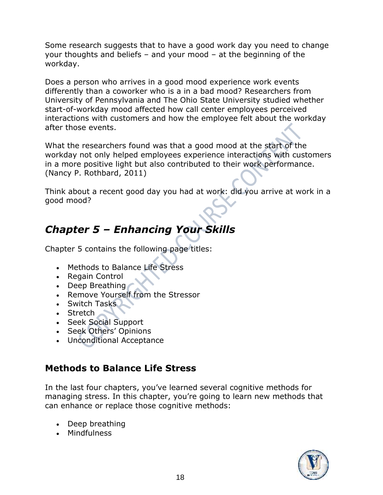Some research suggests that to have a good work day you need to change your thoughts and beliefs – and your mood – at the beginning of the workday.

Does a person who arrives in a good mood experience work events differently than a coworker who is a in a bad mood? Researchers from University of Pennsylvania and The Ohio State University studied whether start-of-workday mood affected how call center employees perceived interactions with customers and how the employee felt about the workday after those events.

What the researchers found was that a good mood at the start of the workday not only helped employees experience interactions with customers in a more positive light but also contributed to their work performance. (Nancy P. Rothbard, 2011)

Think about a recent good day you had at work: did you arrive at work in a good mood?

# *Chapter 5 – Enhancing Your Skills*

Chapter 5 contains the following page titles:

- Methods to Balance Life Stress
- Regain Control
- Deep Breathing
- Remove Yourself from the Stressor
- Switch Tasks
- Stretch
- Seek Social Support
- Seek Others' Opinions
- Unconditional Acceptance

### **Methods to Balance Life Stress**

In the last four chapters, you've learned several cognitive methods for managing stress. In this chapter, you're going to learn new methods that can enhance or replace those cognitive methods:

- Deep breathing
- Mindfulness

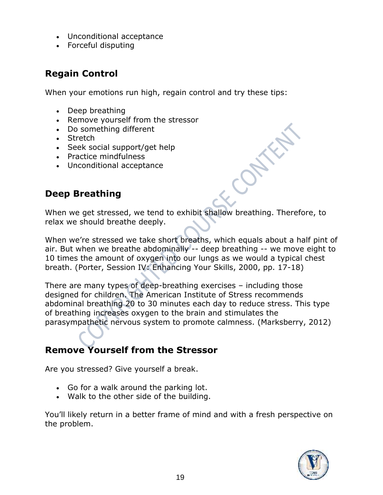- Unconditional acceptance
- Forceful disputing

### **Regain Control**

When your emotions run high, regain control and try these tips:

- Deep breathing
- Remove yourself from the stressor
- Do something different
- Stretch
- Seek social support/get help
- Practice mindfulness
- Unconditional acceptance

### **Deep Breathing**

When we get stressed, we tend to exhibit shallow breathing. Therefore, to relax we should breathe deeply.

When we're stressed we take short breaths, which equals about a half pint of air. But when we breathe abdominally -- deep breathing -- we move eight to 10 times the amount of oxygen into our lungs as we would a typical chest breath. (Porter, Session IV: Enhancing Your Skills, 2000, pp. 17-18)

There are many types of deep-breathing exercises – including those designed for children. The American Institute of Stress recommends abdominal breathing 20 to 30 minutes each day to reduce stress. This type of breathing increases oxygen to the brain and stimulates the parasympathetic nervous system to promote calmness. (Marksberry, 2012)

### **Remove Yourself from the Stressor**

Are you stressed? Give yourself a break.

- Go for a walk around the parking lot.
- Walk to the other side of the building.

You'll likely return in a better frame of mind and with a fresh perspective on the problem.

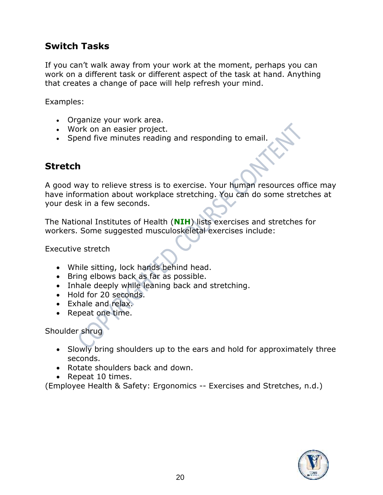### **Switch Tasks**

If you can't walk away from your work at the moment, perhaps you can work on a different task or different aspect of the task at hand. Anything that creates a change of pace will help refresh your mind.

Examples:

- Organize your work area.
- Work on an easier project.
- Spend five minutes reading and responding to email.

### **Stretch**

A good way to relieve stress is to exercise. Your human resources office may have information about workplace stretching. You can do some stretches at your desk in a few seconds.

The National Institutes of Health (**NIH**) lists exercises and stretches for workers. Some suggested musculoskeletal exercises include:

Executive stretch

- While sitting, lock hands behind head.
- Bring elbows back as far as possible.
- Inhale deeply while leaning back and stretching.
- Hold for 20 seconds.
- Exhale and relax.
- Repeat one time.

Shoulder shrug

- Slowly bring shoulders up to the ears and hold for approximately three seconds.
- Rotate shoulders back and down.
- Repeat 10 times.

(Employee Health & Safety: Ergonomics -- Exercises and Stretches, n.d.)

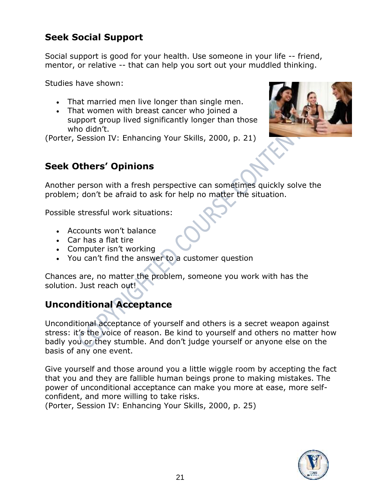### **Seek Social Support**

Social support is good for your health. Use someone in your life -- friend, mentor, or relative -- that can help you sort out your muddled thinking.

Studies have shown:

- That married men live longer than single men.
- That women with breast cancer who joined a support group lived significantly longer than those who didn't.

(Porter, Session IV: Enhancing Your Skills, 2000, p. 21)



### **Seek Others' Opinions**

Another person with a fresh perspective can sometimes quickly solve the problem; don't be afraid to ask for help no matter the situation.

Possible stressful work situations:

- Accounts won't balance
- Car has a flat tire
- Computer isn't working
- You can't find the answer to a customer question

Chances are, no matter the problem, someone you work with has the solution. Just reach out!

### **Unconditional Acceptance**

Unconditional acceptance of yourself and others is a secret weapon against stress: it's the voice of reason. Be kind to yourself and others no matter how badly you or they stumble. And don't judge yourself or anyone else on the basis of any one event.

Give yourself and those around you a little wiggle room by accepting the fact that you and they are fallible human beings prone to making mistakes. The power of unconditional acceptance can make you more at ease, more selfconfident, and more willing to take risks.

(Porter, Session IV: Enhancing Your Skills, 2000, p. 25)

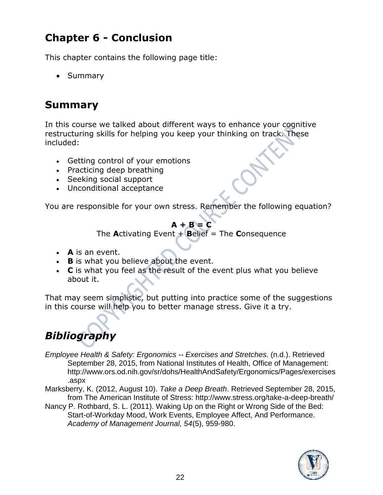# **Chapter 6 - Conclusion**

This chapter contains the following page title:

• Summary

# **Summary**

In this course we talked about different ways to enhance your cognitive restructuring skills for helping you keep your thinking on track. These included:

- Getting control of your emotions
- Practicing deep breathing
- Seeking social support
- Unconditional acceptance

You are responsible for your own stress. Remember the following equation?

### $A + B = C$

The **A**ctivating Event + **B**elief = The **C**onsequence

- **A** is an event.
- **B** is what you believe about the event.
- **C** is what you feel as the result of the event plus what you believe about it.

That may seem simplistic, but putting into practice some of the suggestions in this course will help you to better manage stress. Give it a try.

# *Bibliography*

- *Employee Health & Safety: Ergonomics -- Exercises and Stretches*. (n.d.). Retrieved September 28, 2015, from National Institutes of Health, Office of Management: http://www.ors.od.nih.gov/sr/dohs/HealthAndSafety/Ergonomics/Pages/exercises .aspx
- Marksberry, K. (2012, August 10). *Take a Deep Breath*. Retrieved September 28, 2015, from The American Institute of Stress: http://www.stress.org/take-a-deep-breath/
- Nancy P. Rothbard, S. L. (2011). Waking Up on the Right or Wrong Side of the Bed: Start-of-Workday Mood, Work Events, Employee Affect, And Performance. *Academy of Management Journal, 54*(5), 959-980.